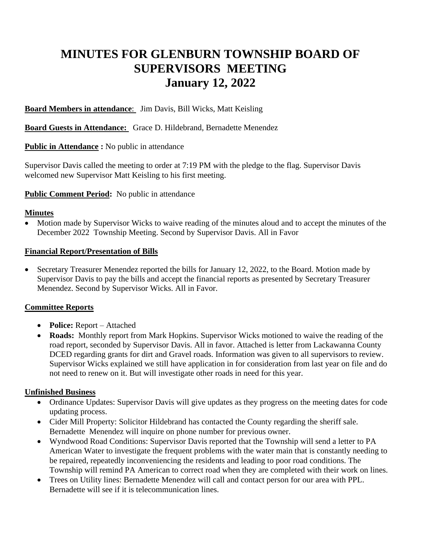# **MINUTES FOR GLENBURN TOWNSHIP BOARD OF SUPERVISORS MEETING January 12, 2022**

**Board Members in attendance**: Jim Davis, Bill Wicks, Matt Keisling

**Board Guests in Attendance:** Grace D. Hildebrand, Bernadette Menendez

**Public in Attendance :** No public in attendance

Supervisor Davis called the meeting to order at 7:19 PM with the pledge to the flag. Supervisor Davis welcomed new Supervisor Matt Keisling to his first meeting.

### **Public Comment Period:** No public in attendance

#### **Minutes**

• Motion made by Supervisor Wicks to waive reading of the minutes aloud and to accept the minutes of the December 2022 Township Meeting. Second by Supervisor Davis. All in Favor

### **Financial Report/Presentation of Bills**

• Secretary Treasurer Menendez reported the bills for January 12, 2022, to the Board. Motion made by Supervisor Davis to pay the bills and accept the financial reports as presented by Secretary Treasurer Menendez. Second by Supervisor Wicks. All in Favor.

## **Committee Reports**

- **Police:** Report Attached
- **Roads:** Monthly report from Mark Hopkins. Supervisor Wicks motioned to waive the reading of the road report, seconded by Supervisor Davis. All in favor. Attached is letter from Lackawanna County DCED regarding grants for dirt and Gravel roads. Information was given to all supervisors to review. Supervisor Wicks explained we still have application in for consideration from last year on file and do not need to renew on it. But will investigate other roads in need for this year.

## **Unfinished Business**

- Ordinance Updates: Supervisor Davis will give updates as they progress on the meeting dates for code updating process.
- Cider Mill Property: Solicitor Hildebrand has contacted the County regarding the sheriff sale. Bernadette Menendez will inquire on phone number for previous owner.
- Wyndwood Road Conditions: Supervisor Davis reported that the Township will send a letter to PA American Water to investigate the frequent problems with the water main that is constantly needing to be repaired, repeatedly inconveniencing the residents and leading to poor road conditions. The Township will remind PA American to correct road when they are completed with their work on lines.
- Trees on Utility lines: Bernadette Menendez will call and contact person for our area with PPL. Bernadette will see if it is telecommunication lines.